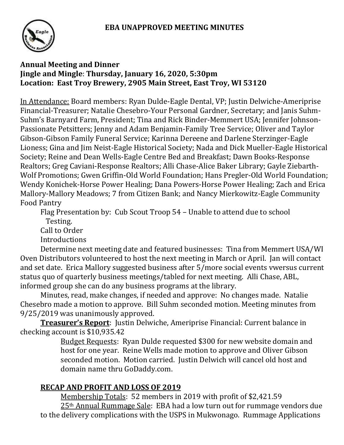

### **Annual Meeting and Dinner Jingle and Mingle**: **Thursday, January 16, 2020, 5:30pm Location: East Troy Brewery, 2905 Main Street, East Troy, WI 53120**

In Attendance: Board members: Ryan Dulde-Eagle Dental, VP; Justin Delwiche-Ameriprise Financial-Treasurer; Natalie Chesebro-Your Personal Gardner, Secretary; and Janis Suhm-Suhm's Barnyard Farm, President; Tina and Rick Binder-Memmert USA; Jennifer Johnson-Passionate Petsitters; Jenny and Adam Benjamin-Family Tree Service; Oliver and Taylor Gibson-Gibson Family Funeral Service; Karinna Dereene and Darlene Sterzinger-Eagle Lioness; Gina and Jim Neist-Eagle Historical Society; Nada and Dick Mueller-Eagle Historical Society; Reine and Dean Wells-Eagle Centre Bed and Breakfast; Dawn Books-Response Realtors; Greg Caviani-Response Realtors; Alli Chase-Alice Baker Library; Gayle Ziebarth-Wolf Promotions; Gwen Griffin-Old World Foundation; Hans Pregler-Old World Foundation; Wendy Konichek-Horse Power Healing; Dana Powers-Horse Power Healing; Zach and Erica Mallory-Mallory Meadows; 7 from Citizen Bank; and Nancy Mierkowitz-Eagle Community Food Pantry

Flag Presentation by: Cub Scout Troop 54 – Unable to attend due to school Testing.

Call to Order

**Introductions** 

Determine next meeting date and featured businesses: Tina from Memmert USA/WI Oven Distributors volunteered to host the next meeting in March or April. Jan will contact and set date. Erica Mallory suggested business after 5/more social events vwersus current status quo of quarterly business meetings/tabled for next meeting. Alli Chase, ABL, informed group she can do any business programs at the library.

Minutes, read, make changes, if needed and approve: No changes made. Natalie Chesebro made a motion to approve. Bill Suhm seconded motion. Meeting minutes from 9/25/2019 was unanimously approved.

**Treasurer's Report**: Justin Delwiche, Ameriprise Financial: Current balance in checking account is \$10,935.42

Budget Requests: Ryan Dulde requested \$300 for new website domain and host for one year. Reine Wells made motion to approve and Oliver Gibson seconded motion. Motion carried. Justin Delwich will cancel old host and domain name thru GoDaddy.com.

# **RECAP AND PROFIT AND LOSS OF 2019**

Membership Totals: 52 members in 2019 with profit of \$2,421.59

25th Annual Rummage Sale: EBA had a low turn out for rummage vendors due to the delivery complications with the USPS in Mukwonago. Rummage Applications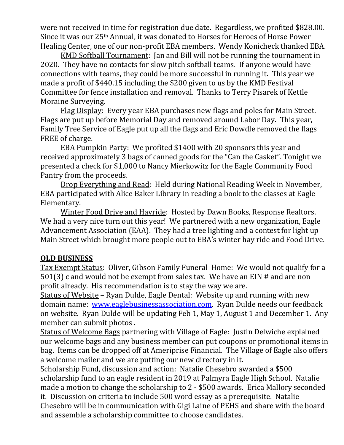were not received in time for registration due date. Regardless, we profited \$828.00. Since it was our 25th Annual, it was donated to Horses for Heroes of Horse Power Healing Center, one of our non-profit EBA members. Wendy Konicheck thanked EBA.

KMD Softball Tournament: Jan and Bill will not be running the tournament in 2020. They have no contacts for slow pitch softball teams. If anyone would have connections with teams, they could be more successful in running it. This year we made a profit of \$440.15 including the \$200 given to us by the KMD Festival Committee for fence installation and removal. Thanks to Terry Pisarek of Kettle Moraine Surveying.

Flag Display: Every year EBA purchases new flags and poles for Main Street. Flags are put up before Memorial Day and removed around Labor Day. This year, Family Tree Service of Eagle put up all the flags and Eric Dowdle removed the flags FREE of charge.

EBA Pumpkin Party: We profited \$1400 with 20 sponsors this year and received approximately 3 bags of canned goods for the "Can the Casket". Tonight we presented a check for \$1,000 to Nancy Mierkowitz for the Eagle Community Food Pantry from the proceeds.

Drop Everything and Read: Held during National Reading Week in November, EBA participated with Alice Baker Library in reading a book to the classes at Eagle Elementary.

Winter Food Drive and Hayride: Hosted by Dawn Books, Response Realtors. We had a very nice turn out this year! We partnered with a new organization, Eagle Advancement Association (EAA). They had a tree lighting and a contest for light up Main Street which brought more people out to EBA's winter hay ride and Food Drive.

### **OLD BUSINESS**

Tax Exempt Status: Oliver, Gibson Family Funeral Home: We would not qualify for a 501(3) c and would not be exempt from sales tax. We have an EIN # and are non profit already. His recommendation is to stay the way we are.

Status of Website – Ryan Dulde, Eagle Dental: Website up and running with new domain name: [www.eaglebusinessassociation.com.](http://www.eaglebusinessassociation.com/) Ryan Dulde needs our feedback on website. Ryan Dulde will be updating Feb 1, May 1, August 1 and December 1. Any member can submit photos .

Status of Welcome Bags partnering with Village of Eagle: Justin Delwiche explained our welcome bags and any business member can put coupons or promotional items in bag. Items can be dropped off at Ameriprise Financial. The Village of Eagle also offers a welcome mailer and we are putting our new directory in it.

Scholarship Fund, discussion and action: Natalie Chesebro awarded a \$500 scholarship fund to an eagle resident in 2019 at Palmyra Eagle High School. Natalie made a motion to change the scholarship to 2 - \$500 awards. Erica Mallory seconded it. Discussion on criteria to include 500 word essay as a prerequisite. Natalie Chesebro will be in communication with Gigi Laine of PEHS and share with the board and assemble a scholarship committee to choose candidates.